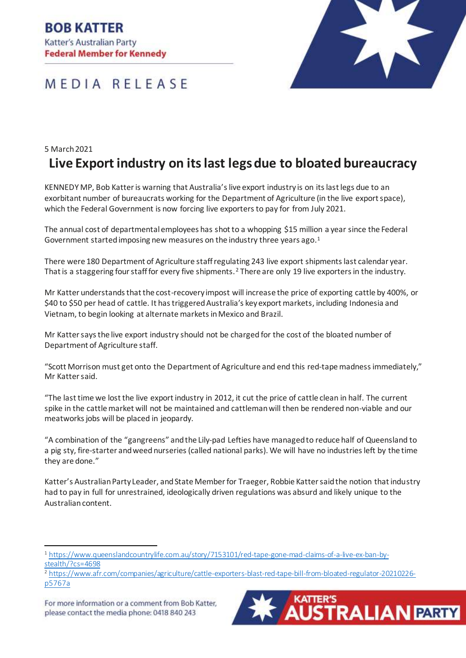**BOB KATTER** Katter's Australian Party **Federal Member for Kennedy** 





## 5 March 2021 **Live Export industry on itslast legsdue to bloated bureaucracy**

KENNEDY MP, Bob Katter is warning that Australia's live export industry is on its last legs due to an exorbitant number of bureaucrats working for the Department of Agriculture (in the live export space), which the Federal Government is now forcing live exportersto pay for from July 2021.

The annual cost of departmental employees has shot to a whopping \$15 million a year since the Federal Government started imposing new measures on the industry three years ago.<sup>1</sup>

There were 180 Department of Agriculture staff regulating 243 live export shipments last calendar year. That is a staggering four staff for every five shipments.<sup>2</sup> There are only 19 live exporters in the industry.

Mr Katter understands that the cost-recovery impost will increase the price of exporting cattle by 400%, or \$40 to \$50 per head of cattle. It has triggered Australia's key export markets, including Indonesia and Vietnam, to begin looking at alternatemarkets in Mexico and Brazil.

Mr Katter says the live export industry should not be charged for the cost of the bloated number of Department of Agriculture staff.

"Scott Morrison must get onto the Department of Agriculture and end this red-tape madness immediately," Mr Katter said.

"The last time we lost the live export industry in 2012, it cut the price of cattle clean in half. The current spike in the cattlemarket will not be maintained and cattleman will then be rendered non-viable and our meatworks jobs will be placed in jeopardy.

"A combination of the "gangreens" and the Lily-pad Lefties have managed to reduce half of Queensland to a pig sty, fire-starter and weed nurseries (called national parks). We will have no industries left by the time they are done."

Katter's Australian Party Leader, and State Member for Traeger, Robbie Katter said the notion that industry had to pay in full for unrestrained, ideologically driven regulations was absurd and likely unique to the Australian content.

<sup>2</sup> [https://www.afr.com/companies/agriculture/cattle-exporters-blast-red-tape-bill-from-bloated-regulator-20210226](https://www.afr.com/companies/agriculture/cattle-exporters-blast-red-tape-bill-from-bloated-regulator-20210226-p5767a) [p5767a](https://www.afr.com/companies/agriculture/cattle-exporters-blast-red-tape-bill-from-bloated-regulator-20210226-p5767a)





<sup>1</sup> [https://www.queenslandcountrylife.com.au/story/7153101/red-tape-gone-mad-claims-of-a-live-ex-ban-by](https://www.queenslandcountrylife.com.au/story/7153101/red-tape-gone-mad-claims-of-a-live-ex-ban-by-stealth/?cs=4698)[stealth/?cs=4698](https://www.queenslandcountrylife.com.au/story/7153101/red-tape-gone-mad-claims-of-a-live-ex-ban-by-stealth/?cs=4698)